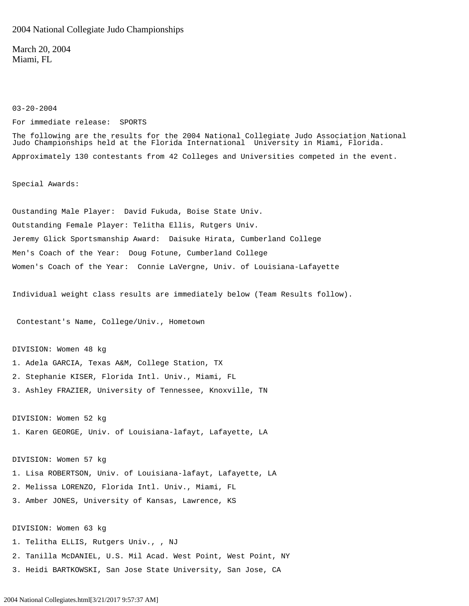2004 National Collegiate Judo Championships

For immediate release: SPORTS

March 20, 2004 Miami, FL

03-20-2004

The following are the results for the 2004 National Collegiate Judo Association National Judo Championships held at the Florida International University in Miami, Florida. Approximately 130 contestants from 42 Colleges and Universities competed in the event. Special Awards: Oustanding Male Player: David Fukuda, Boise State Univ. Outstanding Female Player: Telitha Ellis, Rutgers Univ. Jeremy Glick Sportsmanship Award: Daisuke Hirata, Cumberland College Men's Coach of the Year: Doug Fotune, Cumberland College Women's Coach of the Year: Connie LaVergne, Univ. of Louisiana-Lafayette

Individual weight class results are immediately below (Team Results follow).

Contestant's Name, College/Univ., Hometown

DIVISION: Women 48 kg

- 1. Adela GARCIA, Texas A&M, College Station, TX
- 2. Stephanie KISER, Florida Intl. Univ., Miami, FL
- 3. Ashley FRAZIER, University of Tennessee, Knoxville, TN

DIVISION: Women 52 kg 1. Karen GEORGE, Univ. of Louisiana-lafayt, Lafayette, LA

DIVISION: Women 57 kg 1. Lisa ROBERTSON, Univ. of Louisiana-lafayt, Lafayette, LA 2. Melissa LORENZO, Florida Intl. Univ., Miami, FL 3. Amber JONES, University of Kansas, Lawrence, KS

DIVISION: Women 63 kg

- 1. Telitha ELLIS, Rutgers Univ., , NJ
- 2. Tanilla McDANIEL, U.S. Mil Acad. West Point, West Point, NY
- 3. Heidi BARTKOWSKI, San Jose State University, San Jose, CA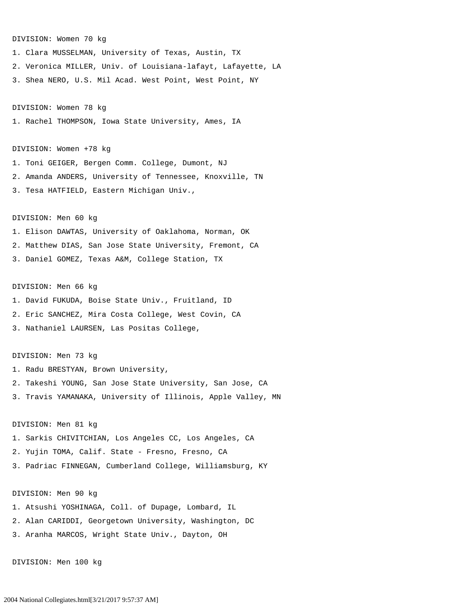#### DIVISION: Women 70 kg

1. Clara MUSSELMAN, University of Texas, Austin, TX 2. Veronica MILLER, Univ. of Louisiana-lafayt, Lafayette, LA 3. Shea NERO, U.S. Mil Acad. West Point, West Point, NY

## DIVISION: Women 78 kg

1. Rachel THOMPSON, Iowa State University, Ames, IA

#### DIVISION: Women +78 kg

1. Toni GEIGER, Bergen Comm. College, Dumont, NJ 2. Amanda ANDERS, University of Tennessee, Knoxville, TN 3. Tesa HATFIELD, Eastern Michigan Univ.,

### DIVISION: Men 60 kg

1. Elison DAWTAS, University of Oaklahoma, Norman, OK 2. Matthew DIAS, San Jose State University, Fremont, CA 3. Daniel GOMEZ, Texas A&M, College Station, TX

### DIVISION: Men 66 kg

1. David FUKUDA, Boise State Univ., Fruitland, ID

- 2. Eric SANCHEZ, Mira Costa College, West Covin, CA
- 3. Nathaniel LAURSEN, Las Positas College,

# DIVISION: Men 73 kg

1. Radu BRESTYAN, Brown University, 2. Takeshi YOUNG, San Jose State University, San Jose, CA 3. Travis YAMANAKA, University of Illinois, Apple Valley, MN

### DIVISION: Men 81 kg

1. Sarkis CHIVITCHIAN, Los Angeles CC, Los Angeles, CA 2. Yujin TOMA, Calif. State - Fresno, Fresno, CA 3. Padriac FINNEGAN, Cumberland College, Williamsburg, KY

DIVISION: Men 90 kg 1. Atsushi YOSHINAGA, Coll. of Dupage, Lombard, IL 2. Alan CARIDDI, Georgetown University, Washington, DC 3. Aranha MARCOS, Wright State Univ., Dayton, OH

DIVISION: Men 100 kg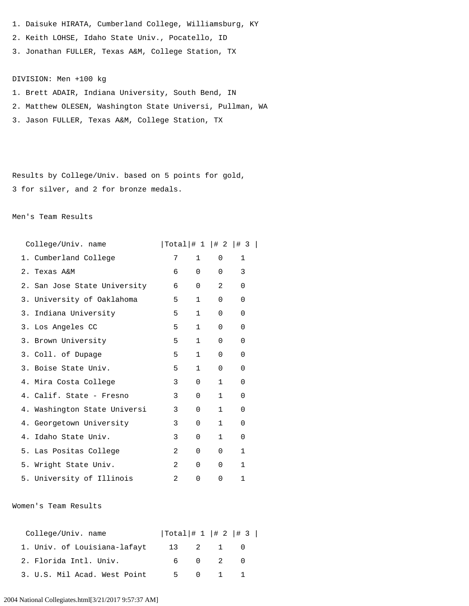- 1. Daisuke HIRATA, Cumberland College, Williamsburg, KY
- 2. Keith LOHSE, Idaho State Univ., Pocatello, ID
- 3. Jonathan FULLER, Texas A&M, College Station, TX

# DIVISION: Men +100 kg

- 1. Brett ADAIR, Indiana University, South Bend, IN 2. Matthew OLESEN, Washington State Universi, Pullman, WA
- 3. Jason FULLER, Texas A&M, College Station, TX

Results by College/Univ. based on 5 points for gold, 3 for silver, and 2 for bronze medals.

## Men's Team Results

| College/Univ. name              | $ Total $ $\# 1  $ $\# 2  $ $\# 3  $ |              |              |              |  |
|---------------------------------|--------------------------------------|--------------|--------------|--------------|--|
| 1. Cumberland College           | 7                                    | $\mathbf{1}$ | $\Omega$     | $\mathbf{1}$ |  |
| Texas A&M<br>2.                 | 6                                    | $\Omega$     | $\Omega$     | 3            |  |
| San Jose State University<br>2. | 6                                    | $\mathbf 0$  | 2            | 0            |  |
| University of Oaklahoma<br>3.   | 5                                    | $\mathbf{1}$ | 0            | 0            |  |
| 3.<br>Indiana University        | 5                                    | $\mathbf{1}$ | 0            | 0            |  |
| Los Angeles CC<br>3.            | 5                                    | $\mathbf{1}$ | 0            | 0            |  |
| 3. Brown University             | 5                                    | $\mathbf{1}$ | $\Omega$     | 0            |  |
| 3. Coll. of Dupage              | 5                                    | $\mathbf{1}$ | $\Omega$     | 0            |  |
| 3. Boise State Univ.            | 5                                    | $\mathbf{1}$ | 0            | 0            |  |
| 4. Mira Costa College           | 3                                    | $\Omega$     | $\mathbf{1}$ | 0            |  |
| 4. Calif. State - Fresno        | 3                                    | $\Omega$     | $\mathbf{1}$ | 0            |  |
| 4. Washington State Universi    | 3                                    | $\Omega$     | $\mathbf{1}$ | 0            |  |
| 4. Georgetown University        | 3                                    | $\Omega$     | $\mathbf{1}$ | 0            |  |
| Idaho State Univ.<br>4.         | 3                                    | 0            | $\mathbf{1}$ | $\Omega$     |  |
| 5.<br>Las Positas College       | 2                                    | 0            | 0            | $\mathbf{1}$ |  |
| 5.<br>Wright State Univ.        | 2                                    | 0            | 0            | $\mathbf{1}$ |  |
| 5. University of Illinois       | $\mathfrak{D}$                       | 0            | 0            | 1            |  |

Women's Team Results

| College/Univ. name           | $ Total $ $\# 1  $ $\# 2  $ $\# 3  $ |          |  |
|------------------------------|--------------------------------------|----------|--|
| 1. Univ. of Louisiana-lafayt |                                      | 13 2 1 0 |  |
| 2. Florida Intl. Univ.       |                                      | 6 0 2 0  |  |
| 3. U.S. Mil Acad. West Point |                                      | 5 0 1 1  |  |